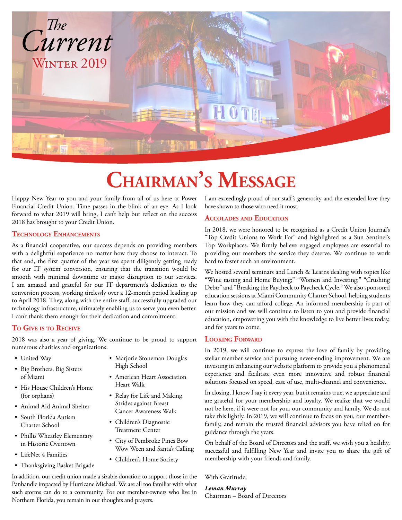

# **Chairman's Message**

Happy New Year to you and your family from all of us here at Power Financial Credit Union. Time passes in the blink of an eye. As I look forward to what 2019 will bring, I can't help but reflect on the success 2018 has brought to your Credit Union.

#### **Technology Enhancements**

As a financial cooperative, our success depends on providing members with a delightful experience no matter how they choose to interact. To that end, the first quarter of the year we spent diligently getting ready for our IT system conversion, ensuring that the transition would be smooth with minimal downtime or major disruption to our services. I am amazed and grateful for our IT department's dedication to the conversion process, working tirelessly over a 12-month period leading up to April 2018. They, along with the entire staff, successfully upgraded our technology infrastructure, ultimately enabling us to serve you even better. I can't thank them enough for their dedication and commitment.

#### **To Give is to Receive**

2018 was also a year of giving. We continue to be proud to support numerous charities and organizations:

- United Way
- Big Brothers, Big Sisters of Miami
- His House Children's Home (for orphans)
- Animal Aid Animal Shelter
- South Florida Autism Charter School
- Phillis Wheatley Elementary in Historic Overtown
- LifeNet 4 Families
- Thanksgiving Basket Brigade
- Marjorie Stoneman Douglas High School
- American Heart Association Heart Walk
- Relay for Life and Making Strides against Breast Cancer Awareness Walk
- Children's Diagnostic Treatment Center
- City of Pembroke Pines Bow Wow Ween and Santa's Calling
- Children's Home Society

In addition, our credit union made a sizable donation to support those in the Panhandle impacted by Hurricane Michael. We are all too familiar with what such storms can do to a community. For our member-owners who live in Northern Florida, you remain in our thoughts and prayers.

I am exceedingly proud of our staff's generosity and the extended love they have shown to those who need it most.

#### **Accolades and Education**

In 2018, we were honored to be recognized as a Credit Union Journal's "Top Credit Unions to Work For" and highlighted as a Sun Sentinel's Top Workplaces. We firmly believe engaged employees are essential to providing our members the service they deserve. We continue to work hard to foster such an environment.

We hosted several seminars and Lunch & Learns dealing with topics like "Wine tasting and Home Buying;" "Women and Investing;" "Crushing Debt;" and "Breaking the Paycheck to Paycheck Cycle." We also sponsored education sessions at Miami Community Charter School, helping students learn how they can afford college. An informed membership is part of our mission and we will continue to listen to you and provide financial education, empowering you with the knowledge to live better lives today, and for years to come.

#### **Looking Forward**

In 2019, we will continue to express the love of family by providing stellar member service and pursuing never-ending improvement. We are investing in enhancing our website platform to provide you a phenomenal experience and facilitate even more innovative and robust financial solutions focused on speed, ease of use, multi-channel and convenience.

In closing, I know I say it every year, but it remains true, we appreciate and are grateful for your membership and loyalty. We realize that we would not be here, if it were not for you, our community and family. We do not take this lightly. In 2019, we will continue to focus on you, our memberfamily, and remain the trusted financial advisors you have relied on for guidance through the years.

On behalf of the Board of Directors and the staff, we wish you a healthy, successful and fulfilling New Year and invite you to share the gift of membership with your friends and family.

With Gratitude,

*Leman Murray* Chairman – Board of Directors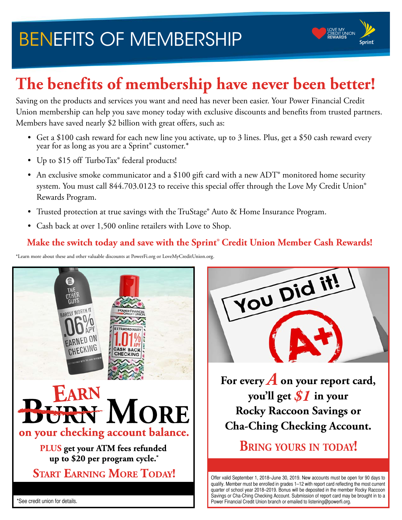# BENEFITS OF MEMBERSHIP



## **The benefits of membership have never been better!**

Saving on the products and services you want and need has never been easier. Your Power Financial Credit Union membership can help you save money today with exclusive discounts and benefits from trusted partners. Members have saved nearly \$2 billion with great offers, such as:

- Get a \$100 cash reward for each new line you activate, up to 3 lines. Plus, get a \$50 cash reward every year for as long as you are a Sprint® customer.\*
- Up to \$15 off TurboTax® federal products!
- An exclusive smoke communicator and a \$100 gift card with a new ADT<sup>®</sup> monitored home security system. You must call 844.703.0123 to receive this special offer through the Love My Credit Union® Rewards Program.
- Trusted protection at true savings with the TruStage® Auto & Home Insurance Program.
- Cash back at over 1,500 online retailers with Love to Shop.

### **Make the switch today and save with the Sprint**® **Credit Union Member Cash Rewards!**

\*Learn more about these and other valuable discounts at PowerFi.org or LoveMyCreditUnion.org.





**For every** *A* **on your report card, you'll get** *\$1* **in your Rocky Raccoon Savings or Cha-Ching Checking Account.**

**Bring yours in today!**

Offer valid September 1, 2018–June 30, 2019. New accounts must be open for 90 days to qualify. Member must be enrolled in grades 1–12 with report card reflecting the most current quarter of school year 2018–2019. Bonus will be deposited in the member Rocky Raccoon Savings or Cha-Ching Checking Account. Submission of report card may be brought in to a Power Financial Credit Union branch or emailed to listening@powerfi.org.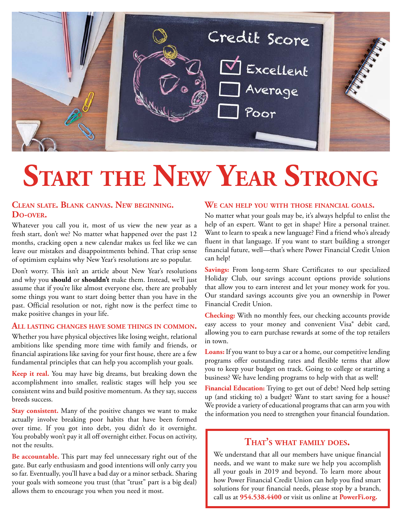

# **Start the New Year Strong**

#### **Clean slate. Blank canvas. New beginning. Do-over.**

Whatever you call you it, most of us view the new year as a fresh start, don't we? No matter what happened over the past 12 months, cracking open a new calendar makes us feel like we can leave our mistakes and disappointments behind. That crisp sense of optimism explains why New Year's resolutions are so popular.

Don't worry. This isn't an article about New Year's resolutions and why you **should** or **shouldn't** make them. Instead, we'll just assume that if you're like almost everyone else, there are probably some things you want to start doing better than you have in the past. Official resolution or not, right now is the perfect time to make positive changes in your life.

#### **All lasting changes have some things in common.**

Whether you have physical objectives like losing weight, relational ambitions like spending more time with family and friends, or financial aspirations like saving for your first house, there are a few fundamental principles that can help you accomplish your goals.

**Keep it real.** You may have big dreams, but breaking down the accomplishment into smaller, realistic stages will help you see consistent wins and build positive momentum. As they say, success breeds success.

**Stay consistent.** Many of the positive changes we want to make actually involve breaking poor habits that have been formed over time. If you got into debt, you didn't do it overnight. You probably won't pay it all off overnight either. Focus on activity, not the results.

**Be accountable.** This part may feel unnecessary right out of the gate. But early enthusiasm and good intentions will only carry you so far. Eventually, you'll have a bad day or a minor setback. Sharing your goals with someone you trust (that "trust" part is a big deal) allows them to encourage you when you need it most.

#### **We can help you with those financial goals.**

No matter what your goals may be, it's always helpful to enlist the help of an expert. Want to get in shape? Hire a personal trainer. Want to learn to speak a new language? Find a friend who's already fluent in that language. If you want to start building a stronger financial future, well—that's where Power Financial Credit Union can help!

**Savings:** From long-term Share Certificates to our specialized Holiday Club, our savings account options provide solutions that allow you to earn interest and let your money work for you. Our standard savings accounts give you an ownership in Power Financial Credit Union.

**Checking:** With no monthly fees, our checking accounts provide easy access to your money and convenient Visa® debit card, allowing you to earn purchase rewards at some of the top retailers in town.

**Loans:** If you want to buy a car or a home, our competitive lending programs offer outstanding rates and flexible terms that allow you to keep your budget on track. Going to college or starting a business? We have lending programs to help with that as well!

**Financial Education:** Trying to get out of debt? Need help setting up (and sticking to) a budget? Want to start saving for a house? We provide a variety of educational programs that can arm you with the information you need to strengthen your financial foundation.

#### **That's what family does.**

We understand that all our members have unique financial needs, and we want to make sure we help you accomplish all your goals in 2019 and beyond. To learn more about how Power Financial Credit Union can help you find smart solutions for your financial needs, please stop by a branch, call us at **954.538.4400** or visit us online at **PowerFi.org.**